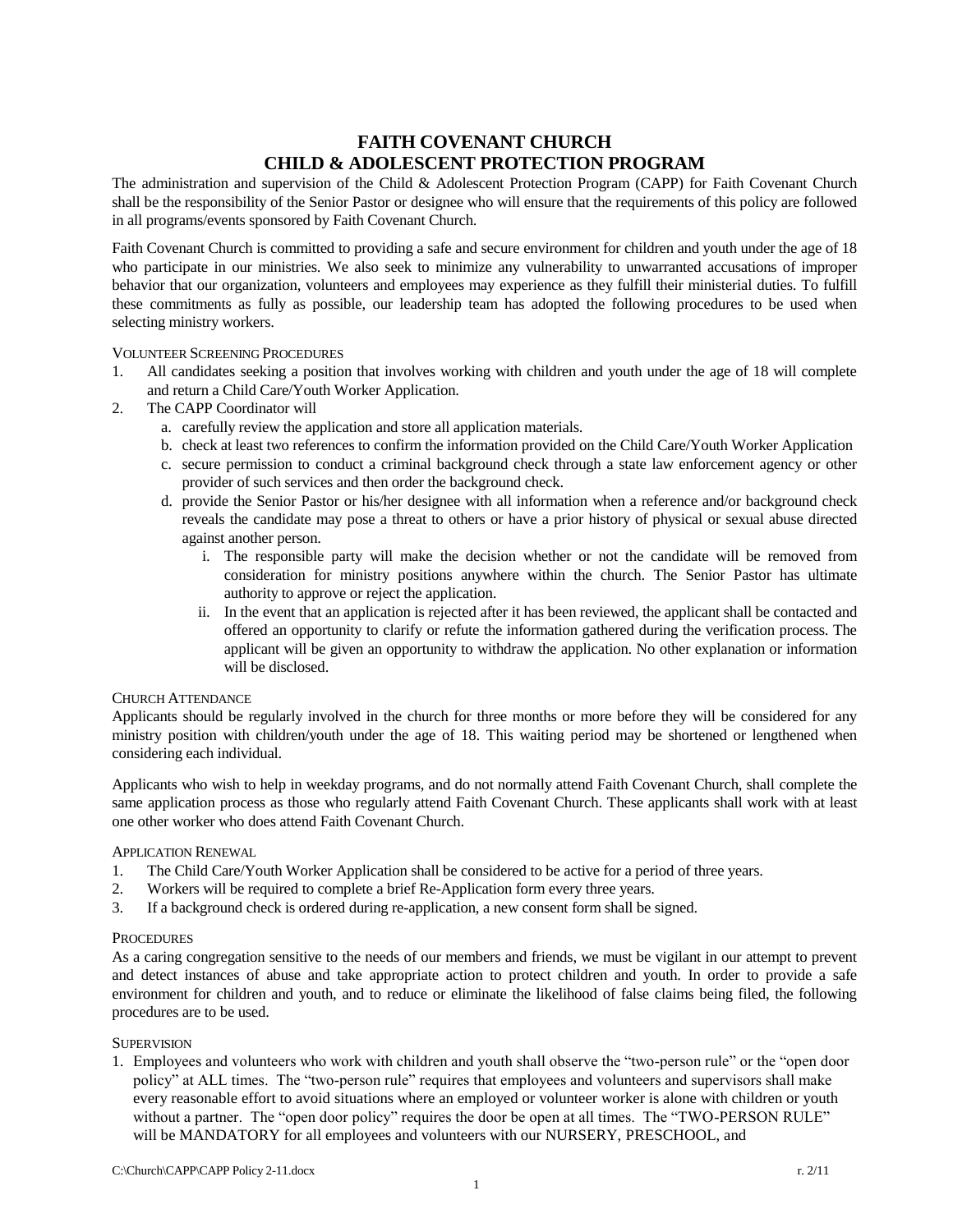# **FAITH COVENANT CHURCH CHILD & ADOLESCENT PROTECTION PROGRAM**

The administration and supervision of the Child & Adolescent Protection Program (CAPP) for Faith Covenant Church shall be the responsibility of the Senior Pastor or designee who will ensure that the requirements of this policy are followed in all programs/events sponsored by Faith Covenant Church.

Faith Covenant Church is committed to providing a safe and secure environment for children and youth under the age of 18 who participate in our ministries. We also seek to minimize any vulnerability to unwarranted accusations of improper behavior that our organization, volunteers and employees may experience as they fulfill their ministerial duties. To fulfill these commitments as fully as possible, our leadership team has adopted the following procedures to be used when selecting ministry workers.

### VOLUNTEER SCREENING PROCEDURES

- 1. All candidates seeking a position that involves working with children and youth under the age of 18 will complete and return a Child Care/Youth Worker Application.
- 2. The CAPP Coordinator will
	- a. carefully review the application and store all application materials.
	- b. check at least two references to confirm the information provided on the Child Care/Youth Worker Application
	- c. secure permission to conduct a criminal background check through a state law enforcement agency or other provider of such services and then order the background check.
	- d. provide the Senior Pastor or his/her designee with all information when a reference and/or background check reveals the candidate may pose a threat to others or have a prior history of physical or sexual abuse directed against another person.
		- i. The responsible party will make the decision whether or not the candidate will be removed from consideration for ministry positions anywhere within the church. The Senior Pastor has ultimate authority to approve or reject the application.
		- ii. In the event that an application is rejected after it has been reviewed, the applicant shall be contacted and offered an opportunity to clarify or refute the information gathered during the verification process. The applicant will be given an opportunity to withdraw the application. No other explanation or information will be disclosed.

### CHURCH ATTENDANCE

Applicants should be regularly involved in the church for three months or more before they will be considered for any ministry position with children/youth under the age of 18. This waiting period may be shortened or lengthened when considering each individual.

Applicants who wish to help in weekday programs, and do not normally attend Faith Covenant Church, shall complete the same application process as those who regularly attend Faith Covenant Church. These applicants shall work with at least one other worker who does attend Faith Covenant Church.

### APPLICATION RENEWAL

- 1. The Child Care/Youth Worker Application shall be considered to be active for a period of three years.
- 2. Workers will be required to complete a brief Re-Application form every three years.
- 3. If a background check is ordered during re-application, a new consent form shall be signed.

### **PROCEDURES**

As a caring congregation sensitive to the needs of our members and friends, we must be vigilant in our attempt to prevent and detect instances of abuse and take appropriate action to protect children and youth. In order to provide a safe environment for children and youth, and to reduce or eliminate the likelihood of false claims being filed, the following procedures are to be used.

### **SUPERVISION**

1. Employees and volunteers who work with children and youth shall observe the "two-person rule" or the "open door policy" at ALL times. The "two-person rule" requires that employees and volunteers and supervisors shall make every reasonable effort to avoid situations where an employed or volunteer worker is alone with children or youth without a partner. The "open door policy" requires the door be open at all times. The "TWO-PERSON RULE" will be MANDATORY for all employees and volunteers with our NURSERY, PRESCHOOL, and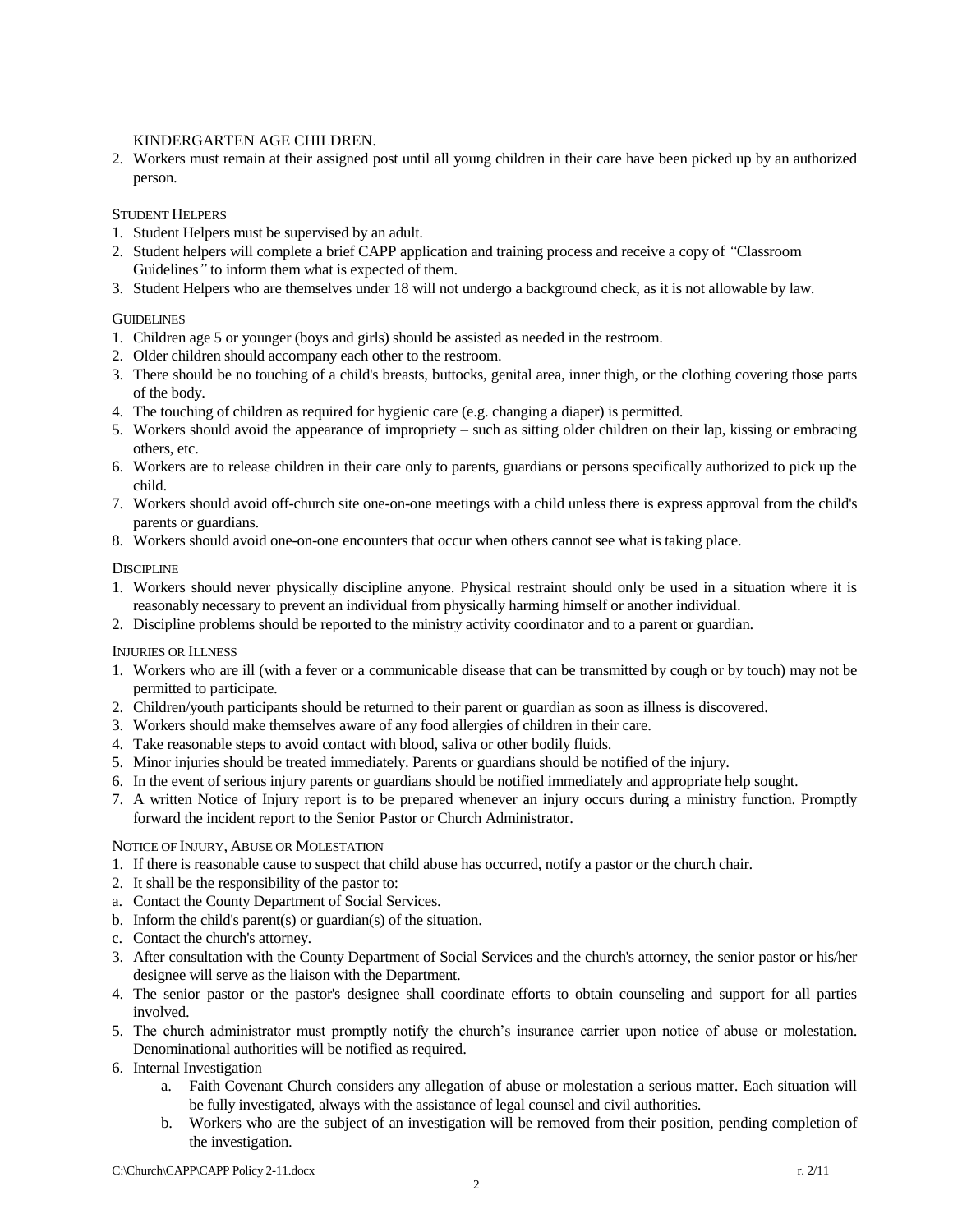## KINDERGARTEN AGE CHILDREN.

2. Workers must remain at their assigned post until all young children in their care have been picked up by an authorized person.

# STUDENT HELPERS

- 1. Student Helpers must be supervised by an adult.
- 2. Student helpers will complete a brief CAPP application and training process and receive a copy of *"*Classroom Guidelines*"* to inform them what is expected of them.
- 3. Student Helpers who are themselves under 18 will not undergo a background check, as it is not allowable by law.

# **GUIDELINES**

- 1. Children age 5 or younger (boys and girls) should be assisted as needed in the restroom.
- 2. Older children should accompany each other to the restroom.
- 3. There should be no touching of a child's breasts, buttocks, genital area, inner thigh, or the clothing covering those parts of the body.
- 4. The touching of children as required for hygienic care (e.g. changing a diaper) is permitted.
- 5. Workers should avoid the appearance of impropriety such as sitting older children on their lap, kissing or embracing others, etc.
- 6. Workers are to release children in their care only to parents, guardians or persons specifically authorized to pick up the child.
- 7. Workers should avoid off-church site one-on-one meetings with a child unless there is express approval from the child's parents or guardians.
- 8. Workers should avoid one-on-one encounters that occur when others cannot see what is taking place.

## **DISCIPLINE**

- 1. Workers should never physically discipline anyone. Physical restraint should only be used in a situation where it is reasonably necessary to prevent an individual from physically harming himself or another individual.
- 2. Discipline problems should be reported to the ministry activity coordinator and to a parent or guardian.

## INJURIES OR ILLNESS

- 1. Workers who are ill (with a fever or a communicable disease that can be transmitted by cough or by touch) may not be permitted to participate.
- 2. Children/youth participants should be returned to their parent or guardian as soon as illness is discovered.
- 3. Workers should make themselves aware of any food allergies of children in their care.
- 4. Take reasonable steps to avoid contact with blood, saliva or other bodily fluids.
- 5. Minor injuries should be treated immediately. Parents or guardians should be notified of the injury.
- 6. In the event of serious injury parents or guardians should be notified immediately and appropriate help sought.
- 7. A written Notice of Injury report is to be prepared whenever an injury occurs during a ministry function. Promptly forward the incident report to the Senior Pastor or Church Administrator.

## NOTICE OF INJURY, ABUSE OR MOLESTATION

- 1. If there is reasonable cause to suspect that child abuse has occurred, notify a pastor or the church chair.
- 2. It shall be the responsibility of the pastor to:
- a. Contact the County Department of Social Services.
- b. Inform the child's parent(s) or guardian(s) of the situation.
- c. Contact the church's attorney.
- 3. After consultation with the County Department of Social Services and the church's attorney, the senior pastor or his/her designee will serve as the liaison with the Department.
- 4. The senior pastor or the pastor's designee shall coordinate efforts to obtain counseling and support for all parties involved.
- 5. The church administrator must promptly notify the church's insurance carrier upon notice of abuse or molestation. Denominational authorities will be notified as required.
- 6. Internal Investigation
	- a. Faith Covenant Church considers any allegation of abuse or molestation a serious matter. Each situation will be fully investigated, always with the assistance of legal counsel and civil authorities.
	- b. Workers who are the subject of an investigation will be removed from their position, pending completion of the investigation.